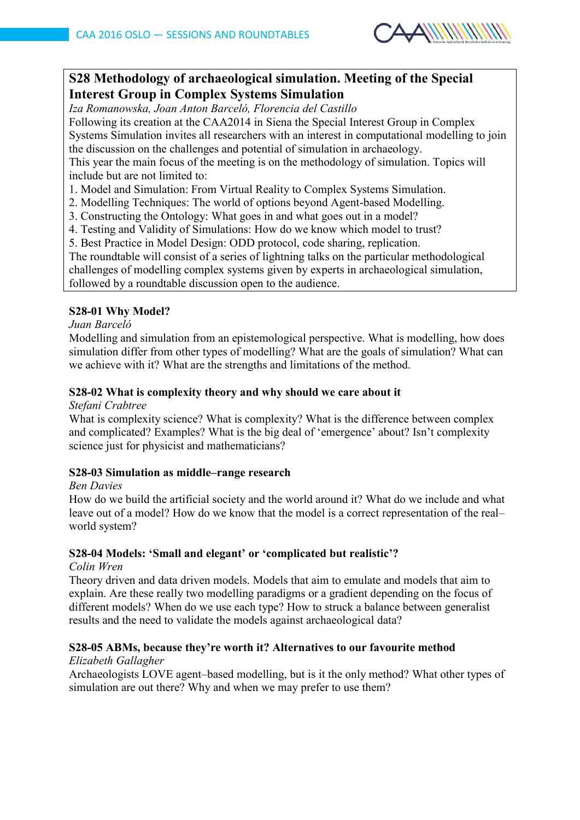

# **S28 Methodology of archaeological simulation. Meeting of the Special Interest Group in Complex Systems Simulation**

*Iza Romanowska, Joan Anton Barceló, Florencia del Castillo*

Following its creation at the CAA2014 in Siena the Special Interest Group in Complex Systems Simulation invites all researchers with an interest in computational modelling to join the discussion on the challenges and potential of simulation in archaeology.

This year the main focus of the meeting is on the methodology of simulation. Topics will include but are not limited to:

1. Model and Simulation: From Virtual Reality to Complex Systems Simulation.

2. Modelling Techniques: The world of options beyond Agent-based Modelling.

- 3. Constructing the Ontology: What goes in and what goes out in a model?
- 4. Testing and Validity of Simulations: How do we know which model to trust?
- 5. Best Practice in Model Design: ODD protocol, code sharing, replication.

The roundtable will consist of a series of lightning talks on the particular methodological challenges of modelling complex systems given by experts in archaeological simulation, followed by a roundtable discussion open to the audience.

# **S28-01 Why Model?**

#### *Juan Barceló*

Modelling and simulation from an epistemological perspective. What is modelling, how does simulation differ from other types of modelling? What are the goals of simulation? What can we achieve with it? What are the strengths and limitations of the method.

# **S28-02 What is complexity theory and why should we care about it**

#### *Stefani Crabtree*

What is complexity science? What is complexity? What is the difference between complex and complicated? Examples? What is the big deal of 'emergence' about? Isn't complexity science just for physicist and mathematicians?

# **S28-03 Simulation as middle–range research**

#### *Ben Davies*

How do we build the artificial society and the world around it? What do we include and what leave out of a model? How do we know that the model is a correct representation of the real– world system?

#### **S28-04 Models: 'Small and elegant' or 'complicated but realistic'?**

#### *Colin Wren*

Theory driven and data driven models. Models that aim to emulate and models that aim to explain. Are these really two modelling paradigms or a gradient depending on the focus of different models? When do we use each type? How to struck a balance between generalist results and the need to validate the models against archaeological data?

# **S28-05 ABMs, because they're worth it? Alternatives to our favourite method**

#### *Elizabeth Gallagher*

Archaeologists LOVE agent–based modelling, but is it the only method? What other types of simulation are out there? Why and when we may prefer to use them?